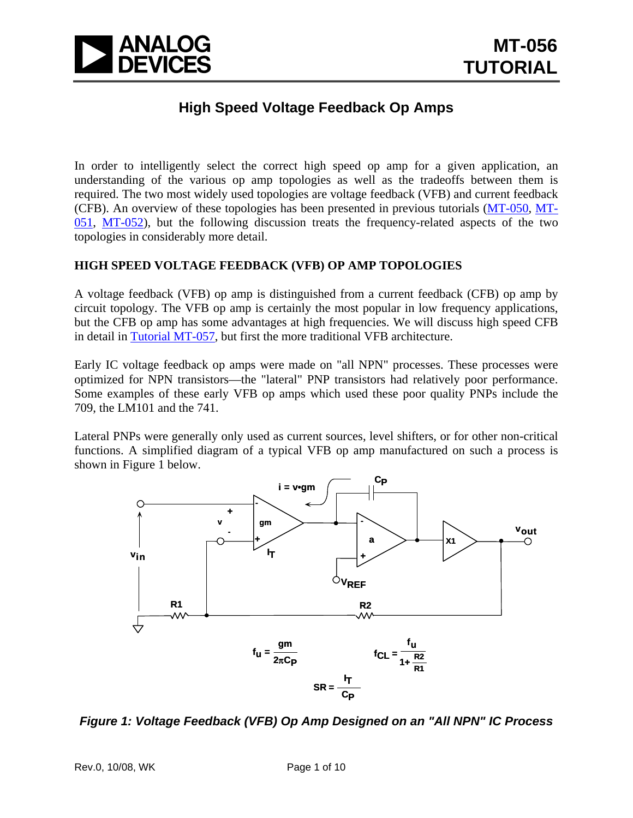

### **High Speed Voltage Feedback Op Amps**

In order to intelligently select the correct high speed op amp for a given application, an understanding of the various op amp topologies as well as the tradeoffs between them is required. The two most widely used topologies are voltage feedback (VFB) and current feedback (CFB). An overview of these topologies has been presented in previous tutorials [\(MT-050](http://www.analog.com/static/imported-files/tutorials/MT-050.pdf), [MT-](http://www.analog.com/static/imported-files/tutorials/MT-051.pdf)[051](http://www.analog.com/static/imported-files/tutorials/MT-051.pdf), [MT-052\)](http://www.analog.com/static/imported-files/tutorials/MT-052.pdf), but the following discussion treats the frequency-related aspects of the two topologies in considerably more detail.

### **HIGH SPEED VOLTAGE FEEDBACK (VFB) OP AMP TOPOLOGIES**

A voltage feedback (VFB) op amp is distinguished from a current feedback (CFB) op amp by circuit topology. The VFB op amp is certainly the most popular in low frequency applications, but the CFB op amp has some advantages at high frequencies. We will discuss high speed CFB in detail in [Tutorial MT-057,](http://www.analog.com/static/imported-files/tutorials/MT-057.pdf) but first the more traditional VFB architecture.

Early IC voltage feedback op amps were made on "all NPN" processes. These processes were optimized for NPN transistors—the "lateral" PNP transistors had relatively poor performance. Some examples of these early VFB op amps which used these poor quality PNPs include the 709, the LM101 and the 741.

Lateral PNPs were generally only used as current sources, level shifters, or for other non-critical functions. A simplified diagram of a typical VFB op amp manufactured on such a process is shown in Figure 1 below.



*Figure 1: Voltage Feedback (VFB) Op Amp Designed on an "All NPN" IC Process*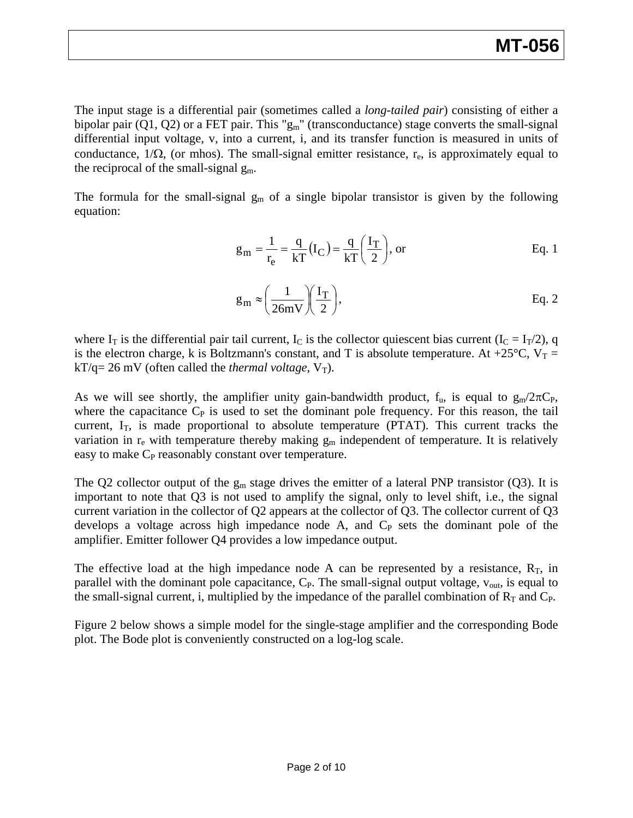The input stage is a differential pair (sometimes called a *long-tailed pair*) consisting of either a bipolar pair  $(Q1, Q2)$  or a FET pair. This " $g_m$ " (transconductance) stage converts the small-signal differential input voltage, v, into a current, i, and its transfer function is measured in units of conductance,  $1/\Omega$ , (or mhos). The small-signal emitter resistance, r<sub>e</sub>, is approximately equal to the reciprocal of the small-signal  $g_m$ .

The formula for the small-signal  $g_m$  of a single bipolar transistor is given by the following equation:

$$
g_m = \frac{1}{r_e} = \frac{q}{kT} (I_C) = \frac{q}{kT} \left(\frac{I_T}{2}\right), \text{ or}
$$
 Eq. 1

$$
g_m \approx \left(\frac{1}{26mV}\right)\left(\frac{I_T}{2}\right),
$$
 Eq. 2

where  $I_T$  is the differential pair tail current,  $I_C$  is the collector quiescent bias current ( $I_C = I_T/2$ ), q is the electron charge, k is Boltzmann's constant, and T is absolute temperature. At +25 $^{\circ}$ C, V<sub>T</sub> =  $kT/q = 26$  mV (often called the *thermal voltage*,  $V_T$ ).

As we will see shortly, the amplifier unity gain-bandwidth product,  $f_u$ , is equal to  $g_m/2\pi C_P$ , where the capacitance  $C_P$  is used to set the dominant pole frequency. For this reason, the tail current,  $I_T$ , is made proportional to absolute temperature (PTAT). This current tracks the variation in  $r_e$  with temperature thereby making  $g_m$  independent of temperature. It is relatively easy to make C<sub>P</sub> reasonably constant over temperature.

The Q2 collector output of the  $g_m$  stage drives the emitter of a lateral PNP transistor (Q3). It is important to note that Q3 is not used to amplify the signal, only to level shift, i.e., the signal current variation in the collector of Q2 appears at the collector of Q3. The collector current of Q3 develops a voltage across high impedance node  $A$ , and  $C_P$  sets the dominant pole of the amplifier. Emitter follower Q4 provides a low impedance output.

The effective load at the high impedance node A can be represented by a resistance,  $R_T$ , in parallel with the dominant pole capacitance,  $C_P$ . The small-signal output voltage,  $v_{\text{out}}$ , is equal to the small-signal current, i, multiplied by the impedance of the parallel combination of  $R_T$  and  $C_P$ .

Figure 2 below shows a simple model for the single-stage amplifier and the corresponding Bode plot. The Bode plot is conveniently constructed on a log-log scale.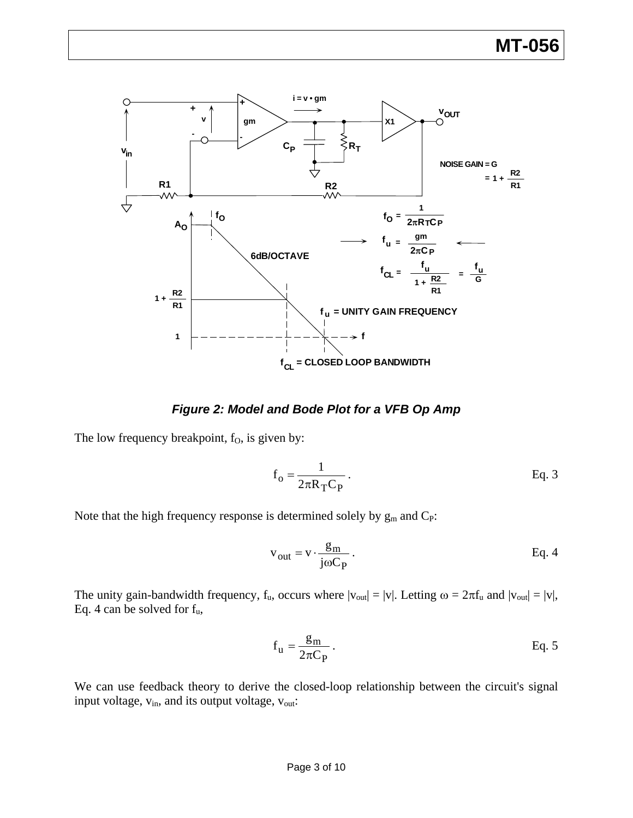

*Figure 2: Model and Bode Plot for a VFB Op Amp* 

The low frequency breakpoint, f<sub>0</sub>, is given by:

$$
f_o = \frac{1}{2\pi R_T C_P}.
$$
 Eq. 3

Note that the high frequency response is determined solely by  $g_m$  and  $C_P$ :

$$
v_{out} = v \cdot \frac{g_m}{j\omega C_P}.
$$
 Eq. 4

The unity gain-bandwidth frequency,  $f_u$ , occurs where  $|v_{out}| = |v|$ . Letting  $\omega = 2\pi f_u$  and  $|v_{out}| = |v|$ , Eq. 4 can be solved for fu,

$$
f_u = \frac{g_m}{2\pi C_P}.
$$
 Eq. 5

We can use feedback theory to derive the closed-loop relationship between the circuit's signal input voltage,  $v_{in}$ , and its output voltage,  $v_{out}$ :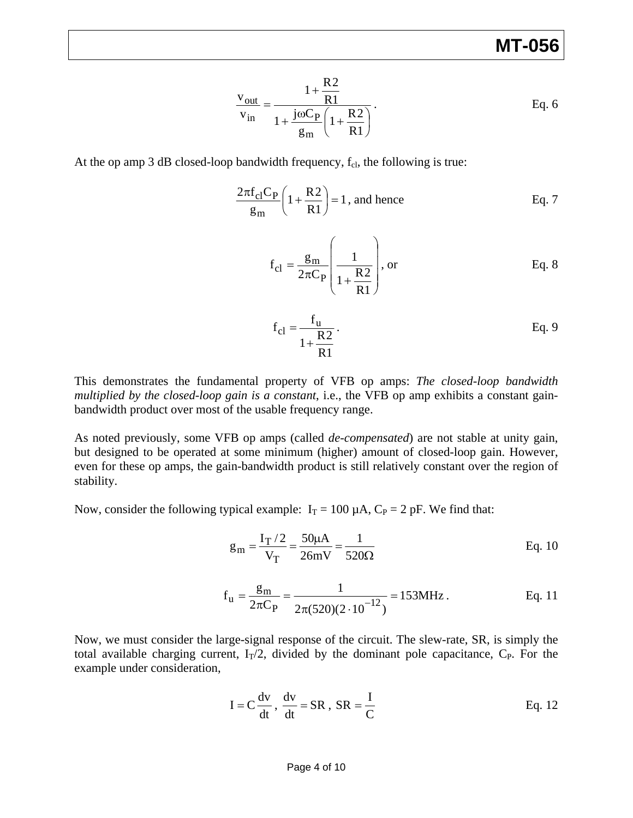$$
\frac{\mathbf{v}_{\text{out}}}{\mathbf{v}_{\text{in}}} = \frac{1 + \frac{R2}{R1}}{1 + \frac{j\omega C_P}{g_m} \left(1 + \frac{R2}{R1}\right)}.
$$
 Eq. 6

At the op amp 3 dB closed-loop bandwidth frequency,  $f_{\text{cl}}$ , the following is true:

$$
\frac{2\pi f_{cl}C_P}{g_m} \left(1 + \frac{R2}{R1}\right) = 1
$$
, and hence Eq. 7

$$
f_{cl} = \frac{g_m}{2\pi C_P} \left( \frac{1}{1 + \frac{R2}{R1}} \right), \text{ or } \qquad \text{Eq. 8}
$$

$$
f_{cl} = \frac{f_u}{1 + \frac{R2}{R1}}
$$
. Eq. 9

This demonstrates the fundamental property of VFB op amps: *The closed-loop bandwidth multiplied by the closed-loop gain is a constant*, i.e., the VFB op amp exhibits a constant gainbandwidth product over most of the usable frequency range.

As noted previously, some VFB op amps (called *de-compensated*) are not stable at unity gain, but designed to be operated at some minimum (higher) amount of closed-loop gain. However, even for these op amps, the gain-bandwidth product is still relatively constant over the region of stability.

Now, consider the following typical example:  $I_T = 100 \mu A$ ,  $C_P = 2 pF$ . We find that:

$$
g_m = \frac{I_T/2}{V_T} = \frac{50\mu A}{26mV} = \frac{1}{520\Omega}
$$
 Eq. 10

$$
f_u = {g_m \over 2\pi C_P} = {1 \over 2\pi (520)(2 \cdot 10^{-12})} = 153 MHz.
$$
 Eq. 11

Now, we must consider the large-signal response of the circuit. The slew-rate, SR, is simply the total available charging current,  $I_T/2$ , divided by the dominant pole capacitance,  $C_P$ . For the example under consideration,

$$
I = C \frac{dv}{dt}, \frac{dv}{dt} = SR, SR = \frac{I}{C}
$$
 Eq. 12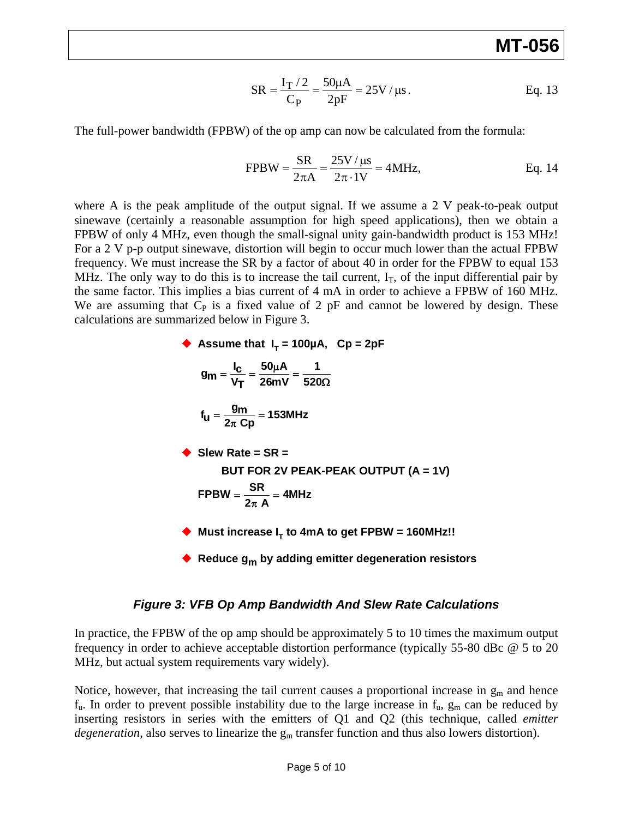$$
SR = \frac{I_T / 2}{C_P} = \frac{50 \mu A}{2pF} = 25 V / \mu s.
$$
 Eq. 13

The full-power bandwidth (FPBW) of the op amp can now be calculated from the formula:

$$
FPBW = \frac{SR}{2\pi A} = \frac{25V/\mu s}{2\pi \cdot 1V} = 4MHz,
$$
 Eq. 14

where A is the peak amplitude of the output signal. If we assume a 2 V peak-to-peak output sinewave (certainly a reasonable assumption for high speed applications), then we obtain a FPBW of only 4 MHz, even though the small-signal unity gain-bandwidth product is 153 MHz! For a 2 V p-p output sinewave, distortion will begin to occur much lower than the actual FPBW frequency. We must increase the SR by a factor of about 40 in order for the FPBW to equal 153 MHz. The only way to do this is to increase the tail current,  $I_T$ , of the input differential pair by the same factor. This implies a bias current of 4 mA in order to achieve a FPBW of 160 MHz. We are assuming that  $C_P$  is a fixed value of 2 pF and cannot be lowered by design. These calculations are summarized below in Figure 3.

• Assume that 
$$
I_T = 100\mu A
$$
,  $CP = 2pF$   
\n
$$
g_m = \frac{I_C}{V_T} = \frac{50\mu A}{26mV} = \frac{1}{520\Omega}
$$
\n
$$
f_U = \frac{g_m}{2\pi cp} = 153MHz
$$
\n• Solve Rate = SR =  
\nBUT FOR 2V PEAK-PEAK OUTPUT (A = 1V)  
\nFPBW =  $\frac{SR}{2\pi A}$  = 4MHz  
\n• Must increase  $I_T$  to 4mA to get FPBW = 160MHz!!  
\n• Reduce  $g_m$  by adding emitter degeneration resistors

#### *Figure 3: VFB Op Amp Bandwidth And Slew Rate Calculations*

In practice, the FPBW of the op amp should be approximately 5 to 10 times the maximum output frequency in order to achieve acceptable distortion performance (typically 55-80 dBc @ 5 to 20 MHz, but actual system requirements vary widely).

Notice, however, that increasing the tail current causes a proportional increase in  $g_m$  and hence  $f_u$ . In order to prevent possible instability due to the large increase in  $f_u$ ,  $g_m$  can be reduced by inserting resistors in series with the emitters of Q1 and Q2 (this technique, called *emitter degeneration*, also serves to linearize the  $g_m$  transfer function and thus also lowers distortion).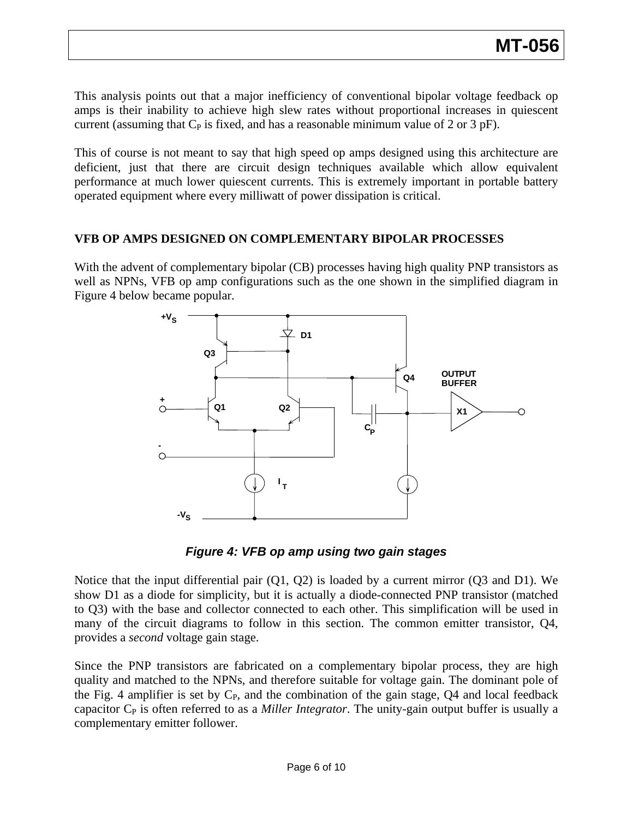This analysis points out that a major inefficiency of conventional bipolar voltage feedback op amps is their inability to achieve high slew rates without proportional increases in quiescent current (assuming that  $C_P$  is fixed, and has a reasonable minimum value of 2 or 3 pF).

This of course is not meant to say that high speed op amps designed using this architecture are deficient, just that there are circuit design techniques available which allow equivalent performance at much lower quiescent currents. This is extremely important in portable battery operated equipment where every milliwatt of power dissipation is critical.

### **VFB OP AMPS DESIGNED ON COMPLEMENTARY BIPOLAR PROCESSES**

With the advent of complementary bipolar (CB) processes having high quality PNP transistors as well as NPNs, VFB op amp configurations such as the one shown in the simplified diagram in Figure 4 below became popular.



*Figure 4: VFB op amp using two gain stages* 

Notice that the input differential pair  $(Q1, Q2)$  is loaded by a current mirror  $(Q3 \text{ and } D1)$ . We show D1 as a diode for simplicity, but it is actually a diode-connected PNP transistor (matched to Q3) with the base and collector connected to each other. This simplification will be used in many of the circuit diagrams to follow in this section. The common emitter transistor, Q4, provides a *second* voltage gain stage.

Since the PNP transistors are fabricated on a complementary bipolar process, they are high quality and matched to the NPNs, and therefore suitable for voltage gain. The dominant pole of the Fig. 4 amplifier is set by  $C_{P}$ , and the combination of the gain stage,  $Q_4$  and local feedback capacitor C<sub>P</sub> is often referred to as a *Miller Integrator*. The unity-gain output buffer is usually a complementary emitter follower.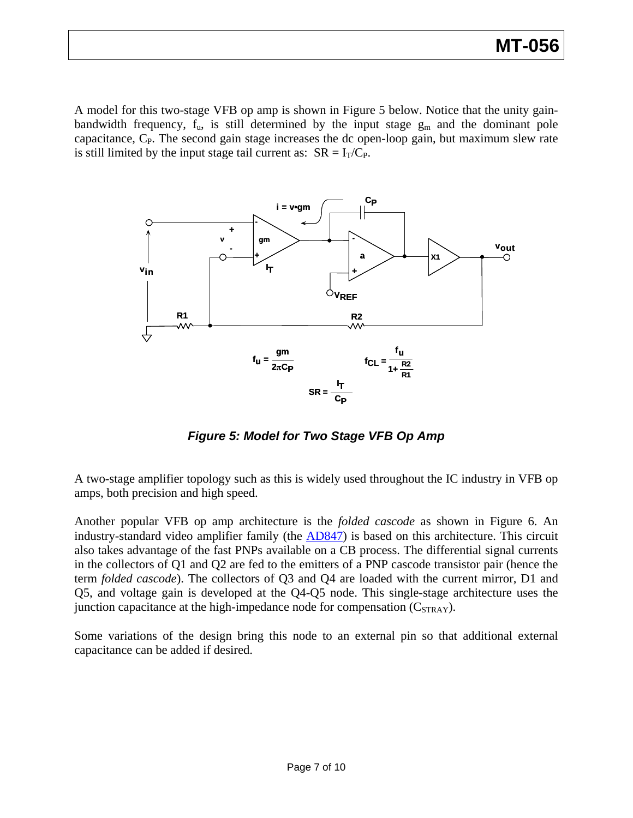A model for this two-stage VFB op amp is shown in Figure 5 below. Notice that the unity gainbandwidth frequency,  $f_{u}$ , is still determined by the input stage  $g_{m}$  and the dominant pole capacitance,  $C_{P}$ . The second gain stage increases the dc open-loop gain, but maximum slew rate is still limited by the input stage tail current as:  $SR = I_T/C_P$ .



*Figure 5: Model for Two Stage VFB Op Amp* 

A two-stage amplifier topology such as this is widely used throughout the IC industry in VFB op amps, both precision and high speed.

Another popular VFB op amp architecture is the *folded cascode* as shown in Figure 6. An industry-standard video amplifier family (the [AD847\)](http://www.analog.com/en/other/militaryaerospace/ad847/products/product.html) is based on this architecture. This circuit also takes advantage of the fast PNPs available on a CB process. The differential signal currents in the collectors of Q1 and Q2 are fed to the emitters of a PNP cascode transistor pair (hence the term *folded cascode*). The collectors of Q3 and Q4 are loaded with the current mirror, D1 and Q5, and voltage gain is developed at the Q4-Q5 node. This single-stage architecture uses the junction capacitance at the high-impedance node for compensation  $(C_{STRAY})$ .

Some variations of the design bring this node to an external pin so that additional external capacitance can be added if desired.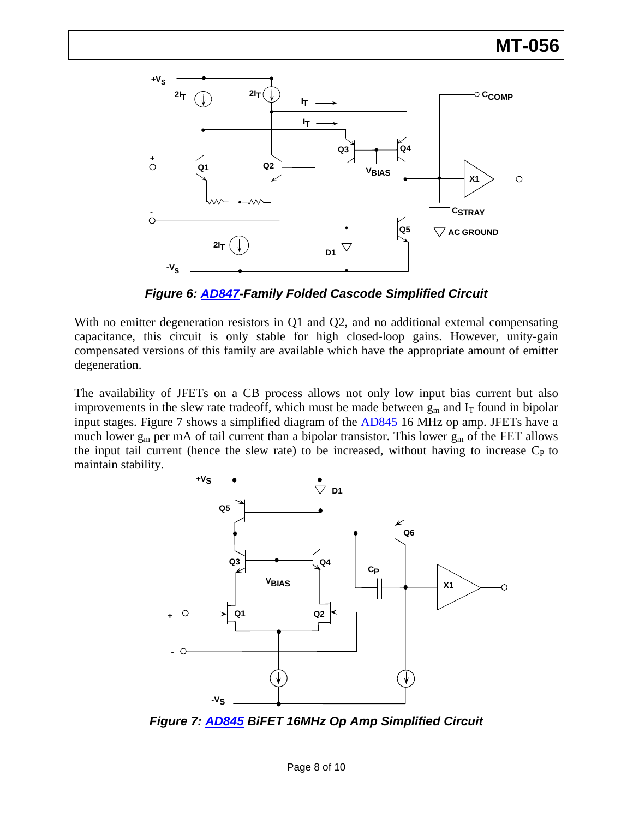

*Figure 6: [AD847-](http://www.analog.com/en/other/militaryaerospace/ad847/products/product.html)Family Folded Cascode Simplified Circuit* 

With no emitter degeneration resistors in Q1 and Q2, and no additional external compensating capacitance, this circuit is only stable for high closed-loop gains. However, unity-gain compensated versions of this family are available which have the appropriate amount of emitter degeneration.

The availability of JFETs on a CB process allows not only low input bias current but also improvements in the slew rate tradeoff, which must be made between  $g_m$  and  $I_T$  found in bipolar input stages. Figure 7 shows a simplified diagram of the **AD845** 16 MHz op amp. JFETs have a much lower  $g_m$  per mA of tail current than a bipolar transistor. This lower  $g_m$  of the FET allows the input tail current (hence the slew rate) to be increased, without having to increase  $C_P$  to maintain stability.



*Figure 7: [AD845](http://www.analog.com/en/other/militaryaerospace/ad845/products/product.html) BiFET 16MHz Op Amp Simplified Circuit*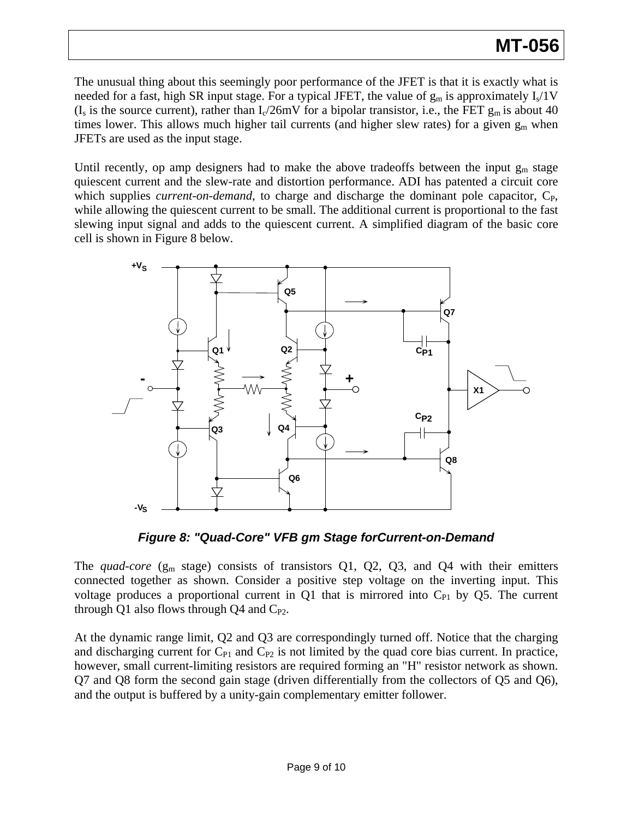The unusual thing about this seemingly poor performance of the JFET is that it is exactly what is needed for a fast, high SR input stage. For a typical JFET, the value of  $g_m$  is approximately  $I_s/1V$ (I<sub>s</sub> is the source current), rather than  $I_c/26mV$  for a bipolar transistor, i.e., the FET  $g_m$  is about 40 times lower. This allows much higher tail currents (and higher slew rates) for a given  $g_m$  when JFETs are used as the input stage.

Until recently, op amp designers had to make the above tradeoffs between the input  $g_m$  stage quiescent current and the slew-rate and distortion performance. ADI has patented a circuit core which supplies *current-on-demand*, to charge and discharge the dominant pole capacitor, C<sub>P</sub>, while allowing the quiescent current to be small. The additional current is proportional to the fast slewing input signal and adds to the quiescent current. A simplified diagram of the basic core cell is shown in Figure 8 below.



*Figure 8: "Quad-Core" VFB gm Stage forCurrent-on-Demand* 

The *quad-core* ( $g_m$  stage) consists of transistors Q1, Q2, Q3, and Q4 with their emitters connected together as shown. Consider a positive step voltage on the inverting input. This voltage produces a proportional current in  $Q1$  that is mirrored into  $C_{P1}$  by  $Q5$ . The current through Q1 also flows through Q4 and  $C_{P2}$ .

At the dynamic range limit, Q2 and Q3 are correspondingly turned off. Notice that the charging and discharging current for  $C_{P1}$  and  $C_{P2}$  is not limited by the quad core bias current. In practice, however, small current-limiting resistors are required forming an "H" resistor network as shown. Q7 and Q8 form the second gain stage (driven differentially from the collectors of Q5 and Q6), and the output is buffered by a unity-gain complementary emitter follower.